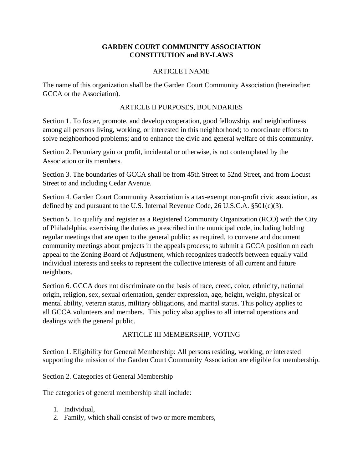#### **GARDEN COURT COMMUNITY ASSOCIATION CONSTITUTION and BY-LAWS**

#### ARTICLE I NAME

The name of this organization shall be the Garden Court Community Association (hereinafter: GCCA or the Association).

#### ARTICLE II PURPOSES, BOUNDARIES

Section 1. To foster, promote, and develop cooperation, good fellowship, and neighborliness among all persons living, working, or interested in this neighborhood; to coordinate efforts to solve neighborhood problems; and to enhance the civic and general welfare of this community.

Section 2. Pecuniary gain or profit, incidental or otherwise, is not contemplated by the Association or its members.

Section 3. The boundaries of GCCA shall be from 45th Street to 52nd Street, and from Locust Street to and including Cedar Avenue.

Section 4. Garden Court Community Association is a tax-exempt non-profit civic association, as defined by and pursuant to the U.S. Internal Revenue Code, 26 U.S.C.A. §501(c)(3).

Section 5. To qualify and register as a Registered Community Organization (RCO) with the City of Philadelphia, exercising the duties as prescribed in the municipal code, including holding regular meetings that are open to the general public; as required, to convene and document community meetings about projects in the appeals process; to submit a GCCA position on each appeal to the Zoning Board of Adjustment, which recognizes tradeoffs between equally valid individual interests and seeks to represent the collective interests of all current and future neighbors.

Section 6. GCCA does not discriminate on the basis of race, creed, color, ethnicity, national origin, religion, sex, sexual orientation, gender expression, age, height, weight, physical or mental ability, veteran status, military obligations, and marital status. This policy applies to all GCCA volunteers and members. This policy also applies to all internal operations and dealings with the general public.

# ARTICLE III MEMBERSHIP, VOTING

Section 1. Eligibility for General Membership: All persons residing, working, or interested supporting the mission of the Garden Court Community Association are eligible for membership.

Section 2. Categories of General Membership

The categories of general membership shall include:

- 1. Individual,
- 2. Family, which shall consist of two or more members,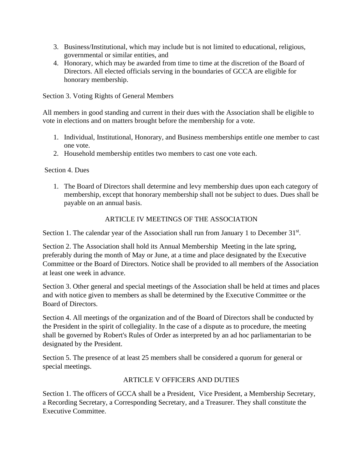- 3. Business/Institutional, which may include but is not limited to educational, religious, governmental or similar entities, and
- 4. Honorary, which may be awarded from time to time at the discretion of the Board of Directors. All elected officials serving in the boundaries of GCCA are eligible for honorary membership.

Section 3. Voting Rights of General Members

All members in good standing and current in their dues with the Association shall be eligible to vote in elections and on matters brought before the membership for a vote.

- 1. Individual, Institutional, Honorary, and Business memberships entitle one member to cast one vote.
- 2. Household membership entitles two members to cast one vote each.

Section 4. Dues

1. The Board of Directors shall determine and levy membership dues upon each category of membership, except that honorary membership shall not be subject to dues. Dues shall be payable on an annual basis.

# ARTICLE IV MEETINGS OF THE ASSOCIATION

Section 1. The calendar year of the Association shall run from January 1 to December 31<sup>st</sup>.

Section 2. The Association shall hold its Annual Membership Meeting in the late spring, preferably during the month of May or June, at a time and place designated by the Executive Committee or the Board of Directors. Notice shall be provided to all members of the Association at least one week in advance.

Section 3. Other general and special meetings of the Association shall be held at times and places and with notice given to members as shall be determined by the Executive Committee or the Board of Directors.

Section 4. All meetings of the organization and of the Board of Directors shall be conducted by the President in the spirit of collegiality. In the case of a dispute as to procedure, the meeting shall be governed by Robert's Rules of Order as interpreted by an ad hoc parliamentarian to be designated by the President.

Section 5. The presence of at least 25 members shall be considered a quorum for general or special meetings.

# ARTICLE V OFFICERS AND DUTIES

Section 1. The officers of GCCA shall be a President, Vice President, a Membership Secretary, a Recording Secretary, a Corresponding Secretary, and a Treasurer. They shall constitute the Executive Committee.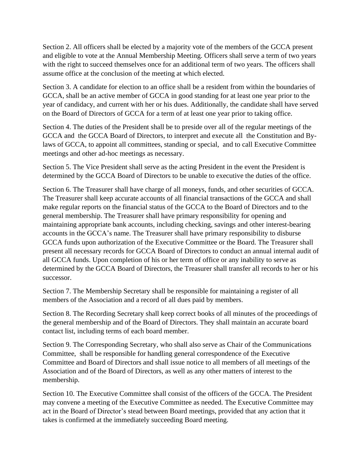Section 2. All officers shall be elected by a majority vote of the members of the GCCA present and eligible to vote at the Annual Membership Meeting. Officers shall serve a term of two years with the right to succeed themselves once for an additional term of two years. The officers shall assume office at the conclusion of the meeting at which elected.

Section 3. A candidate for election to an office shall be a resident from within the boundaries of GCCA, shall be an active member of GCCA in good standing for at least one year prior to the year of candidacy, and current with her or his dues. Additionally, the candidate shall have served on the Board of Directors of GCCA for a term of at least one year prior to taking office.

Section 4. The duties of the President shall be to preside over all of the regular meetings of the GCCA and the GCCA Board of Directors, to interpret and execute all the Constitution and Bylaws of GCCA, to appoint all committees, standing or special, and to call Executive Committee meetings and other ad-hoc meetings as necessary.

Section 5. The Vice President shall serve as the acting President in the event the President is determined by the GCCA Board of Directors to be unable to executive the duties of the office.

Section 6. The Treasurer shall have charge of all moneys, funds, and other securities of GCCA. The Treasurer shall keep accurate accounts of all financial transactions of the GCCA and shall make regular reports on the financial status of the GCCA to the Board of Directors and to the general membership. The Treasurer shall have primary responsibility for opening and maintaining appropriate bank accounts, including checking, savings and other interest-bearing accounts in the GCCA's name. The Treasurer shall have primary responsibility to disburse GCCA funds upon authorization of the Executive Committee or the Board. The Treasurer shall present all necessary records for GCCA Board of Directors to conduct an annual internal audit of all GCCA funds. Upon completion of his or her term of office or any inability to serve as determined by the GCCA Board of Directors, the Treasurer shall transfer all records to her or his successor.

Section 7. The Membership Secretary shall be responsible for maintaining a register of all members of the Association and a record of all dues paid by members.

Section 8. The Recording Secretary shall keep correct books of all minutes of the proceedings of the general membership and of the Board of Directors. They shall maintain an accurate board contact list, including terms of each board member.

Section 9. The Corresponding Secretary, who shall also serve as Chair of the Communications Committee, shall be responsible for handling general correspondence of the Executive Committee and Board of Directors and shall issue notice to all members of all meetings of the Association and of the Board of Directors, as well as any other matters of interest to the membership.

Section 10. The Executive Committee shall consist of the officers of the GCCA. The President may convene a meeting of the Executive Committee as needed. The Executive Committee may act in the Board of Director's stead between Board meetings, provided that any action that it takes is confirmed at the immediately succeeding Board meeting.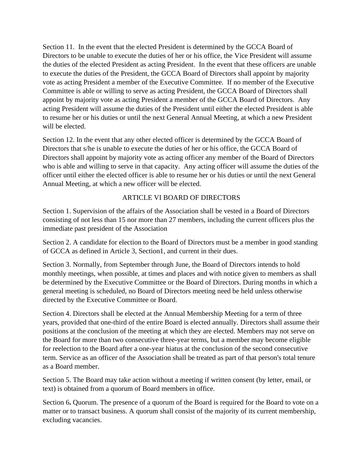Section 11. In the event that the elected President is determined by the GCCA Board of Directors to be unable to execute the duties of her or his office, the Vice President will assume the duties of the elected President as acting President. In the event that these officers are unable to execute the duties of the President, the GCCA Board of Directors shall appoint by majority vote as acting President a member of the Executive Committee. If no member of the Executive Committee is able or willing to serve as acting President, the GCCA Board of Directors shall appoint by majority vote as acting President a member of the GCCA Board of Directors. Any acting President will assume the duties of the President until either the elected President is able to resume her or his duties or until the next General Annual Meeting, at which a new President will be elected.

Section 12. In the event that any other elected officer is determined by the GCCA Board of Directors that s/he is unable to execute the duties of her or his office, the GCCA Board of Directors shall appoint by majority vote as acting officer any member of the Board of Directors who is able and willing to serve in that capacity. Any acting officer will assume the duties of the officer until either the elected officer is able to resume her or his duties or until the next General Annual Meeting, at which a new officer will be elected.

# ARTICLE VI BOARD OF DIRECTORS

Section 1. Supervision of the affairs of the Association shall be vested in a Board of Directors consisting of not less than 15 nor more than 27 members, including the current officers plus the immediate past president of the Association

Section 2. A candidate for election to the Board of Directors must be a member in good standing of GCCA as defined in Article 3, Section1, and current in their dues.

Section 3. Normally, from September through June, the Board of Directors intends to hold monthly meetings, when possible, at times and places and with notice given to members as shall be determined by the Executive Committee or the Board of Directors. During months in which a general meeting is scheduled, no Board of Directors meeting need be held unless otherwise directed by the Executive Committee or Board.

Section 4. Directors shall be elected at the Annual Membership Meeting for a term of three years, provided that one-third of the entire Board is elected annually. Directors shall assume their positions at the conclusion of the meeting at which they are elected. Members may not serve on the Board for more than two consecutive three-year terms, but a member may become eligible for reelection to the Board after a one-year hiatus at the conclusion of the second consecutive term. Service as an officer of the Association shall be treated as part of that person's total tenure as a Board member.

Section 5. The Board may take action without a meeting if written consent (by letter, email, or text) is obtained from a quorum of Board members in office.

Section 6**.** Quorum. The presence of a quorum of the Board is required for the Board to vote on a matter or to transact business. A quorum shall consist of the majority of its current membership, excluding vacancies.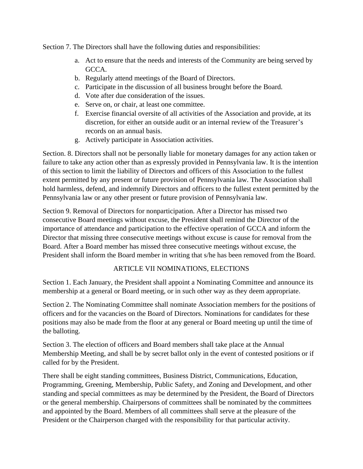Section 7. The Directors shall have the following duties and responsibilities:

- a. Act to ensure that the needs and interests of the Community are being served by GCCA.
- b. Regularly attend meetings of the Board of Directors.
- c. Participate in the discussion of all business brought before the Board.
- d. Vote after due consideration of the issues.
- e. Serve on, or chair, at least one committee.
- f. Exercise financial oversite of all activities of the Association and provide, at its discretion, for either an outside audit or an internal review of the Treasurer's records on an annual basis.
- g. Actively participate in Association activities.

Section. 8. Directors shall not be personally liable for monetary damages for any action taken or failure to take any action other than as expressly provided in Pennsylvania law. It is the intention of this section to limit the liability of Directors and officers of this Association to the fullest extent permitted by any present or future provision of Pennsylvania law. The Association shall hold harmless, defend, and indemnify Directors and officers to the fullest extent permitted by the Pennsylvania law or any other present or future provision of Pennsylvania law.

Section 9. Removal of Directors for nonparticipation. After a Director has missed two consecutive Board meetings without excuse, the President shall remind the Director of the importance of attendance and participation to the effective operation of GCCA and inform the Director that missing three consecutive meetings without excuse is cause for removal from the Board. After a Board member has missed three consecutive meetings without excuse, the President shall inform the Board member in writing that s/he has been removed from the Board.

# ARTICLE VII NOMINATIONS, ELECTIONS

Section 1. Each January, the President shall appoint a Nominating Committee and announce its membership at a general or Board meeting, or in such other way as they deem appropriate.

Section 2. The Nominating Committee shall nominate Association members for the positions of officers and for the vacancies on the Board of Directors. Nominations for candidates for these positions may also be made from the floor at any general or Board meeting up until the time of the balloting.

Section 3. The election of officers and Board members shall take place at the Annual Membership Meeting, and shall be by secret ballot only in the event of contested positions or if called for by the President.

There shall be eight standing committees, Business District, Communications, Education, Programming, Greening, Membership, Public Safety, and Zoning and Development, and other standing and special committees as may be determined by the President, the Board of Directors or the general membership. Chairpersons of committees shall be nominated by the committees and appointed by the Board. Members of all committees shall serve at the pleasure of the President or the Chairperson charged with the responsibility for that particular activity.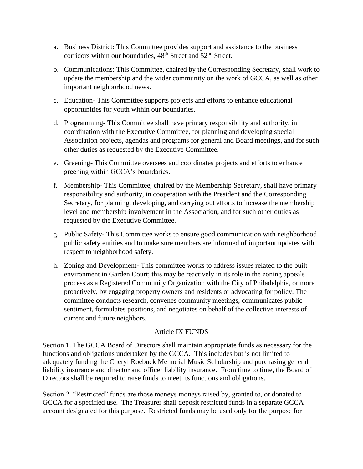- a. Business District: This Committee provides support and assistance to the business corridors within our boundaries, 48<sup>th</sup> Street and 52<sup>nd</sup> Street.
- b. Communications: This Committee, chaired by the Corresponding Secretary, shall work to update the membership and the wider community on the work of GCCA, as well as other important neighborhood news.
- c. Education- This Committee supports projects and efforts to enhance educational opportunities for youth within our boundaries.
- d. Programming- This Committee shall have primary responsibility and authority, in coordination with the Executive Committee, for planning and developing special Association projects, agendas and programs for general and Board meetings, and for such other duties as requested by the Executive Committee.
- e. Greening- This Committee oversees and coordinates projects and efforts to enhance greening within GCCA's boundaries.
- f. Membership- This Committee, chaired by the Membership Secretary, shall have primary responsibility and authority, in cooperation with the President and the Corresponding Secretary, for planning, developing, and carrying out efforts to increase the membership level and membership involvement in the Association, and for such other duties as requested by the Executive Committee.
- g. Public Safety- This Committee works to ensure good communication with neighborhood public safety entities and to make sure members are informed of important updates with respect to neighborhood safety.
- h. Zoning and Development- This committee works to address issues related to the built environment in Garden Court; this may be reactively in its role in the zoning appeals process as a Registered Community Organization with the City of Philadelphia, or more proactively, by engaging property owners and residents or advocating for policy. The committee conducts research, convenes community meetings, communicates public sentiment, formulates positions, and negotiates on behalf of the collective interests of current and future neighbors.

# Article IX FUNDS

Section 1. The GCCA Board of Directors shall maintain appropriate funds as necessary for the functions and obligations undertaken by the GCCA. This includes but is not limited to adequately funding the Cheryl Roebuck Memorial Music Scholarship and purchasing general liability insurance and director and officer liability insurance. From time to time, the Board of Directors shall be required to raise funds to meet its functions and obligations.

Section 2. "Restricted" funds are those moneys moneys raised by, granted to, or donated to GCCA for a specified use. The Treasurer shall deposit restricted funds in a separate GCCA account designated for this purpose. Restricted funds may be used only for the purpose for